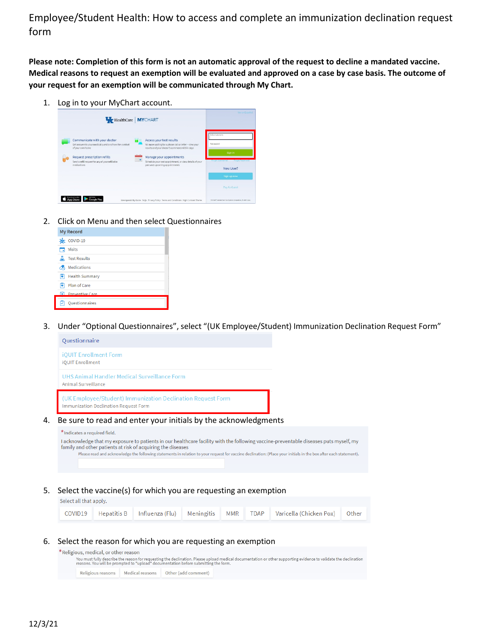Employee/Student Health: How to access and complete an immunization declination request form

**Please note: Completion of this form is not an automatic approval of the request to decline a mandated vaccine. Medical reasons to request an exemption will be evaluated and approved on a case by case basis. The outcome of your request for an exemption will be communicated through My Chart.**

1. Log in to your MyChart account.

|                                                                                                                                                                                                                      | HealthCare   MYCHART                                                                                                                                                                                                                                          | Ver en Español                                                                                                                     |
|----------------------------------------------------------------------------------------------------------------------------------------------------------------------------------------------------------------------|---------------------------------------------------------------------------------------------------------------------------------------------------------------------------------------------------------------------------------------------------------------|------------------------------------------------------------------------------------------------------------------------------------|
| Communicate with your doctor<br>Get answers to your medical questions from the comfort<br>of your own home<br><b>Request prescription refills</b><br>Send a refill request for any of your refillable<br>medications | Access your test results<br>No more waiting for a phone call or letter - view your<br>results and your doctor's comments within days<br>Manage your appointments<br>Schedule your next appointment, or view details of your<br>past and upcoming appointments | McCharl Usemanne<br>Password<br>Sign in<br><b>Terror Usemaner</b><br>For pot Password?<br>New User?<br>Sign up now<br>Pay As Guest |
|                                                                                                                                                                                                                      | Interoperability Guide FAQs Privacy Policy Terms and Conditions High Contrast Theme                                                                                                                                                                           | 10/Ourse Loansed from Epic Sustains Corporation, Ill 1999 - 2021.                                                                  |

2. Click on Menu and then select Questionnaires

| <b>My Record</b>         |  |
|--------------------------|--|
| COVID-19                 |  |
| <b>Visits</b>            |  |
| <b>Test Results</b>      |  |
| Medications              |  |
| <b>Health Summary</b>    |  |
| Plan of Care             |  |
| <b>C</b> Preventive Care |  |
| <b>Questionnaires</b>    |  |

3. Under "Optional Questionnaires", select "(UK Employee/Student) Immunization Declination Request Form"

| Questionnaire                                                                                                                                                                                        |
|------------------------------------------------------------------------------------------------------------------------------------------------------------------------------------------------------|
| <b>iOUIT Enrollment Form</b><br><b>iOUIT Enrollment</b>                                                                                                                                              |
| UHS Animal Handler Medical Surveillance Form<br>Animal Surveillance                                                                                                                                  |
| (UK Employee/Student) Immunization Declination Request Form<br>Immunization Declination Request Form                                                                                                 |
| Be sure to read and enter your initials by the acknowledgments                                                                                                                                       |
| *Indicates a required field.                                                                                                                                                                         |
|                                                                                                                                                                                                      |
| I acknowledge that my exposure to patients in our healthcare facility with the following vaccine-preventable diseases puts myself, my<br>family and other patients at risk of acquiring the diseases |

5. Select the vaccine(s) for which you are requesting an exemption

| Select all that apply. |             |                                      |  |                                        |  |
|------------------------|-------------|--------------------------------------|--|----------------------------------------|--|
| COVID19                | Hepatitis B | Influenza (Flu)    Meningitis    MMR |  | TDAP   Varicella (Chicken Pox)   Other |  |

## 6. Select the reason for which you are requesting an exemption

| *Religious, medical, or other reason |                 | reasons. You will be prompted to "upload" documentation before submitting the form. | You must fully describe the reason for requesting the declination. Please upload medical documentation or other supporting evidence to validate the declination |
|--------------------------------------|-----------------|-------------------------------------------------------------------------------------|-----------------------------------------------------------------------------------------------------------------------------------------------------------------|
| Religious reasons                    | Medical reasons | Other (add comment)                                                                 |                                                                                                                                                                 |